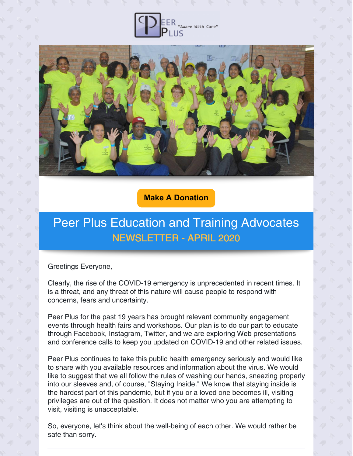



**Make A [Donation](https://www.peerpluscares.org/donate)**

# Peer Plus Education and Training Advocates NEWSLETTER - APRIL 2020

Greetings Everyone,

Clearly, the rise of the COVID-19 emergency is unprecedented in recent times. It is a threat, and any threat of this nature will cause people to respond with concerns, fears and uncertainty.

Peer Plus for the past 19 years has brought relevant community engagement events through health fairs and workshops. Our plan is to do our part to educate through Facebook, Instagram, Twitter, and we are exploring Web presentations and conference calls to keep you updated on COVID-19 and other related issues.

Peer Plus continues to take this public health emergency seriously and would like to share with you available resources and information about the virus. We would like to suggest that we all follow the rules of washing our hands, sneezing properly into our sleeves and, of course, "Staying Inside." We know that staying inside is the hardest part of this pandemic, but if you or a loved one becomes ill, visiting privileges are out of the question. It does not matter who you are attempting to visit, visiting is unacceptable.

So, everyone, let's think about the well-being of each other. We would rather be safe than sorry.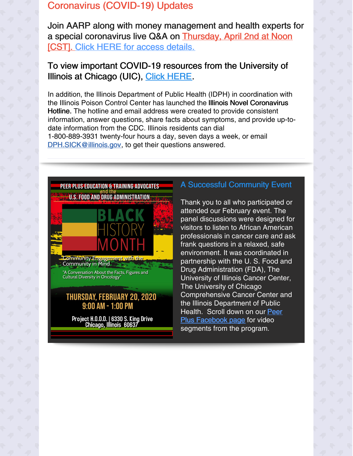#### Coronavirus (COVID-19) Updates

Join AARP along with money management and health experts for a special coronavirus live Q&A on Thursday, April 2nd at Noon [CST]. Click HERE for access [details.](http://view.email.aarp.org/?qs=1a7085b1574995530b80666675b2f3dbbd5420f807e3053d6ff4409c375a0b4c6d5b39876746b45eefcba9589fcfefc733565cd4c56770a04c9608f660e71be1a6029510138e1547610e4330bd88bbc6)

#### To view important COVID-19 resources from the University of Illinois at Chicago (UIC), Click [HERE](https://publichealth.uic.edu/uic-covid-19-public-health-response/covid-19-resources/).

In addition, the Illinois Department of Public Health (IDPH) in coordination with the Illinois Poison Control Center has launched the Illinois Novel Coronavirus Hotline. The hotline and email address were created to provide consistent information, answer questions, share facts about symptoms, and provide up-todate information from the CDC. Illinois residents can dial 1-800-889-3931 twenty-four hours a day, seven days a week, or email DPH.SICK@illinois.gov, to get their questions answered.



### A Successful Community Event

Thank you to all who participated or attended our February event. The panel discussions were designed for visitors to listen to African American professionals in cancer care and ask frank questions in a relaxed, safe environment. It was coordinated in partnership with the U. S. Food and Drug Administration (FDA), The University of Illinois Cancer Center, The University of Chicago Comprehensive Cancer Center and the Illinois Department of Public Health. Scroll down on our Peer Plus [Facebook](https://www.facebook.com/PeerplusETA/?ref=bookmarks) page for video segments from the program.